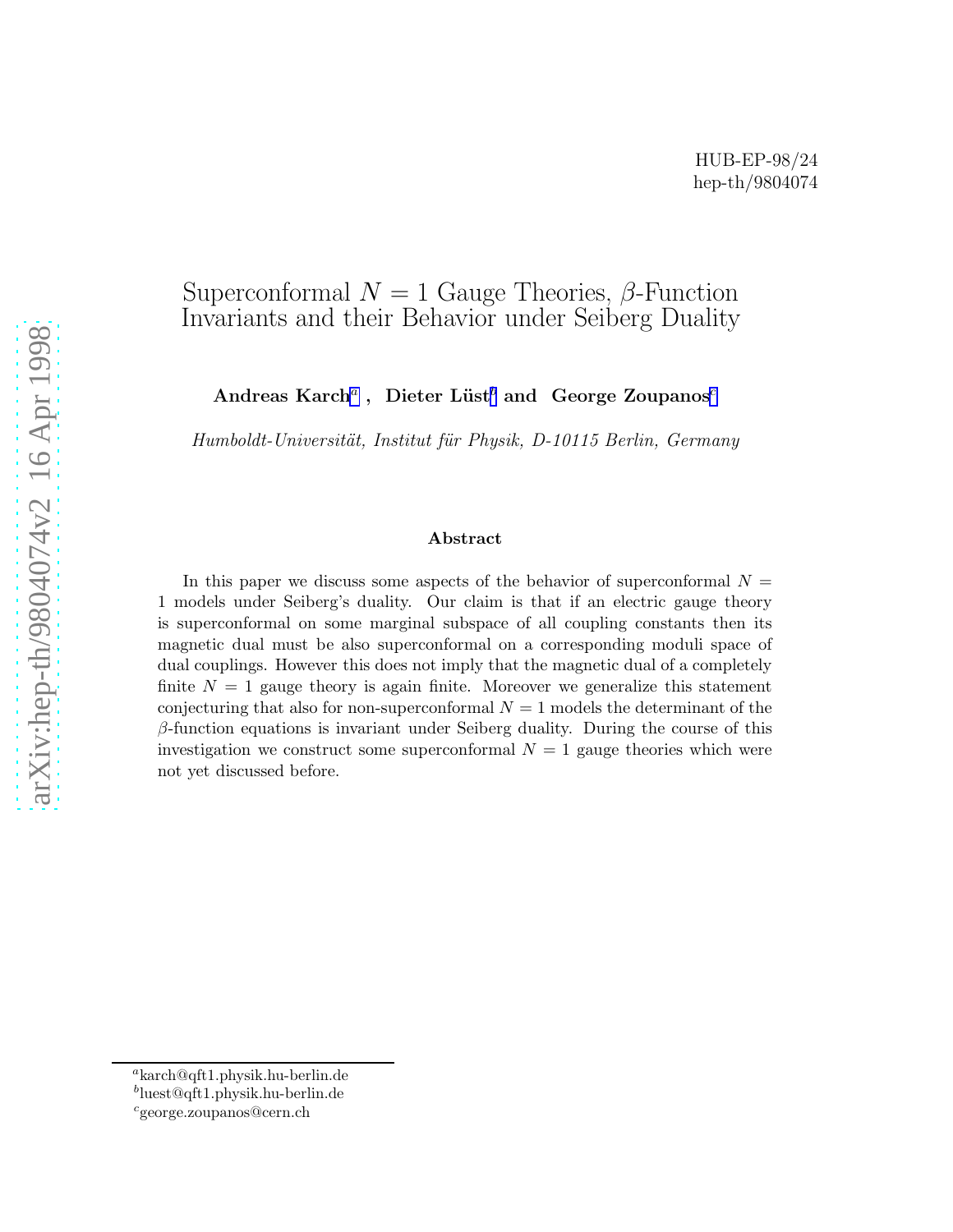## Superconformal  $N = 1$  Gauge Theories,  $\beta$ -Function Invariants and their Behavior under Seiberg Duality

Andreas Karch<sup>a</sup>, Dieter Lüst<sup>b</sup> and George Zoupanos<sup>c</sup>

Humboldt-Universität, Institut für Physik, D-10115 Berlin, Germany

## Abstract

In this paper we discuss some aspects of the behavior of superconformal  $N =$ 1 models under Seiberg's duality. Our claim is that if an electric gauge theory is superconformal on some marginal subspace of all coupling constants then its magnetic dual must be also superconformal on a corresponding moduli space of dual couplings. However this does not imply that the magnetic dual of a completely finite  $N = 1$  gauge theory is again finite. Moreover we generalize this statement conjecturing that also for non-superconformal  $N=1$  models the determinant of the β-function equations is invariant under Seiberg duality. During the course of this investigation we construct some superconformal  $N = 1$  gauge theories which were not yet discussed before.

<sup>a</sup>karch@qft1.physik.hu-berlin.de

b luest@qft1.physik.hu-berlin.de

<sup>c</sup>george.zoupanos@cern.ch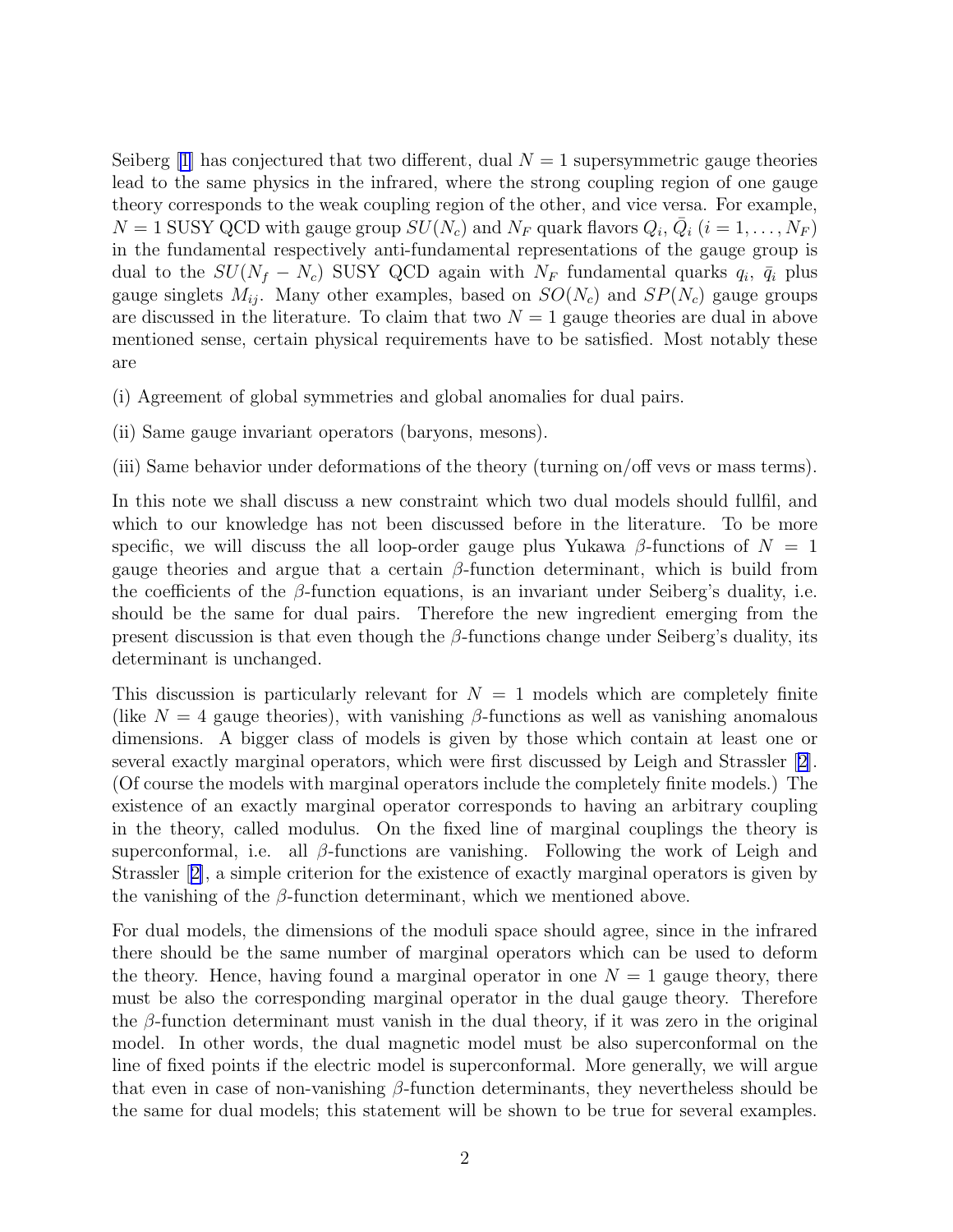Seiberg  $|1|$  has conjectured that two different, dual  $N = 1$  supersymmetric gauge theories lead to the same physics in the infrared, where the strong coupling region of one gauge theory corresponds to the weak coupling region of the other, and vice versa. For example,  $N = 1$  SUSY QCD with gauge group  $SU(N_c)$  and  $N_F$  quark flavors  $Q_i$ ,  $\overline{Q}_i$   $(i = 1, \ldots, N_F)$ in the fundamental respectively anti-fundamental representations of the gauge group is dual to the  $SU(N_f - N_c)$  SUSY QCD again with  $N_F$  fundamental quarks  $q_i$ ,  $\bar{q}_i$  plus gauge singlets  $M_{ij}$ . Many other examples, based on  $SO(N_c)$  and  $SP(N_c)$  gauge groups are discussed in the literature. To claim that two  $N = 1$  gauge theories are dual in above mentioned sense, certain physical requirements have to be satisfied. Most notably these are

- (i) Agreement of global symmetries and global anomalies for dual pairs.
- (ii) Same gauge invariant operators (baryons, mesons).
- (iii) Same behavior under deformations of the theory (turning on/off vevs or mass terms).

In this note we shall discuss a new constraint which two dual models should fullfil, and which to our knowledge has not been discussed before in the literature. To be more specific, we will discuss the all loop-order gauge plus Yukawa  $\beta$ -functions of  $N = 1$ gauge theories and argue that a certain  $\beta$ -function determinant, which is build from the coefficients of the  $\beta$ -function equations, is an invariant under Seiberg's duality, i.e. should be the same for dual pairs. Therefore the new ingredient emerging from the present discussion is that even though the  $\beta$ -functions change under Seiberg's duality, its determinant is unchanged.

This discussion is particularly relevant for  $N = 1$  models which are completely finite (like  $N = 4$  gauge theories), with vanishing β-functions as well as vanishing anomalous dimensions. A bigger class of models is given by those which contain at least one or several exactly marginal operators, which were first discussed by Leigh and Strassler [\[2\]](#page-10-0). (Of course the models with marginal operators include the completely finite models.) The existence of an exactly marginal operator corresponds to having an arbitrary coupling in the theory, called modulus. On the fixed line of marginal couplings the theory is superconformal, i.e. all  $\beta$ -functions are vanishing. Following the work of Leigh and Strassler[[2\]](#page-10-0), a simple criterion for the existence of exactly marginal operators is given by the vanishing of the  $\beta$ -function determinant, which we mentioned above.

For dual models, the dimensions of the moduli space should agree, since in the infrared there should be the same number of marginal operators which can be used to deform the theory. Hence, having found a marginal operator in one  $N = 1$  gauge theory, there must be also the corresponding marginal operator in the dual gauge theory. Therefore the  $\beta$ -function determinant must vanish in the dual theory, if it was zero in the original model. In other words, the dual magnetic model must be also superconformal on the line of fixed points if the electric model is superconformal. More generally, we will argue that even in case of non-vanishing  $\beta$ -function determinants, they nevertheless should be the same for dual models; this statement will be shown to be true for several examples.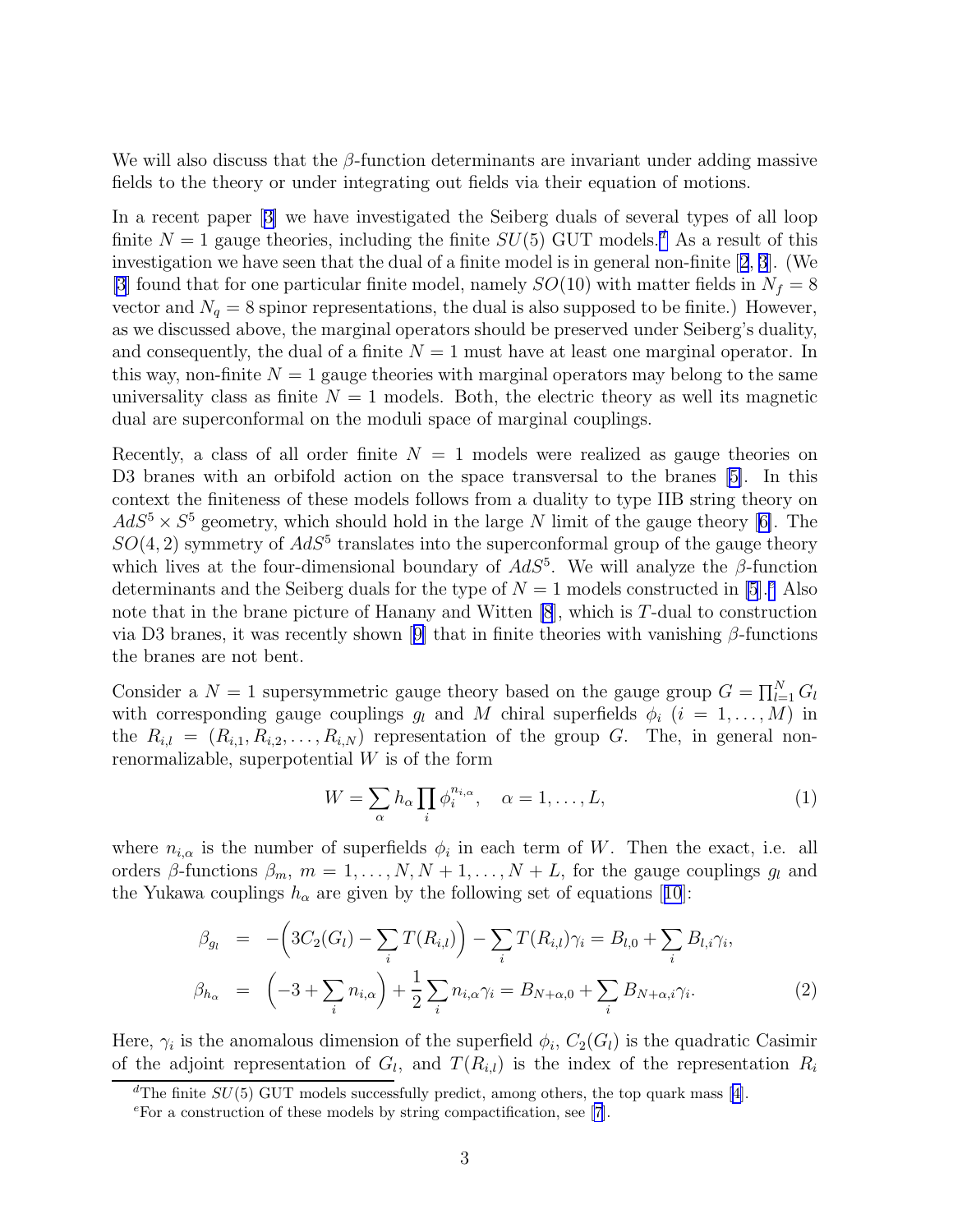<span id="page-2-0"></span>We will also discuss that the  $\beta$ -function determinants are invariant under adding massive fields to the theory or under integrating out fields via their equation of motions.

In a recent paper[[3\]](#page-11-0) we have investigated the Seiberg duals of several types of all loop finite  $N = 1$  gauge theories, including the finite  $SU(5)$  GUT models.<sup>d</sup> As a result of this investigation we have seen that the dual of a finite model is in general non-finite[[2](#page-10-0), [3](#page-11-0)]. (We [\[3](#page-11-0)] found that for one particular finite model, namely  $SO(10)$  with matter fields in  $N_f = 8$ vector and  $N_q = 8$  spinor representations, the dual is also supposed to be finite.) However, as we discussed above, the marginal operators should be preserved under Seiberg's duality, and consequently, the dual of a finite  $N = 1$  must have at least one marginal operator. In this way, non-finite  $N = 1$  gauge theories with marginal operators may belong to the same universality class as finite  $N = 1$  models. Both, the electric theory as well its magnetic dual are superconformal on the moduli space of marginal couplings.

Recently, a class of all order finite  $N = 1$  models were realized as gauge theories on D3 branes with an orbifold action on the space transversal to the branes[[5\]](#page-11-0). In this context the finiteness of these models follows from a duality to type IIB string theory on  $AdS^5 \times S^5$  $AdS^5 \times S^5$  $AdS^5 \times S^5$  geometry, which should hold in the large N limit of the gauge theory [[6\]](#page-11-0). The  $SO(4, 2)$  symmetry of  $AdS^5$  translates into the superconformal group of the gauge theory which lives at the four-dimensional boundary of  $AdS^5$ . We will analyze the  $\beta$ -function determinants and the Seiberg duals for the type of  $N = 1$  models constructed in [\[5](#page-11-0)].<sup>e</sup> Also note that in the brane picture of Hanany and Witten  $[8]$ , which is T-dual to construction viaD3 branes, it was recently shown [[9\]](#page-11-0) that in finite theories with vanishing  $\beta$ -functions the branes are not bent.

Consider a  $N = 1$  supersymmetric gauge theory based on the gauge group  $G = \prod_{l=1}^{N} G_l$ with corresponding gauge couplings  $g_l$  and M chiral superfields  $\phi_i$   $(i = 1, ..., M)$  in the  $R_{i,l} = (R_{i,1}, R_{i,2}, \ldots, R_{i,N})$  representation of the group G. The, in general nonrenormalizable, superpotential  $W$  is of the form

$$
W = \sum_{\alpha} h_{\alpha} \prod_{i} \phi_i^{n_{i,\alpha}}, \quad \alpha = 1, \dots, L,
$$
 (1)

where  $n_{i,\alpha}$  is the number of superfields  $\phi_i$  in each term of W. Then the exact, i.e. all orders  $\beta$ -functions  $\beta_m$ ,  $m = 1, \ldots, N, N + 1, \ldots, N + L$ , for the gauge couplings  $g_l$  and theYukawa couplings  $h_{\alpha}$  are given by the following set of equations [[10](#page-11-0)]:

$$
\beta_{g_l} = -\left(3C_2(G_l) - \sum_i T(R_{i,l})\right) - \sum_i T(R_{i,l})\gamma_i = B_{l,0} + \sum_i B_{l,i}\gamma_i,
$$
\n
$$
\beta_{h_{\alpha}} = \left(-3 + \sum_i n_{i,\alpha}\right) + \frac{1}{2}\sum_i n_{i,\alpha}\gamma_i = B_{N+\alpha,0} + \sum_i B_{N+\alpha,i}\gamma_i.
$$
\n(2)

Here,  $\gamma_i$  is the anomalous dimension of the superfield  $\phi_i$ ,  $C_2(G_l)$  is the quadratic Casimir of the adjoint representation of  $G_l$ , and  $T(R_{i,l})$  is the index of the representation  $R_i$ 

<sup>&</sup>lt;sup>d</sup>Thefinite  $SU(5)$  GUT models successfully predict, among others, the top quark mass [[4\]](#page-11-0).

 ${}^e$ For a construction of these models by string compactification, see [\[7](#page-11-0)].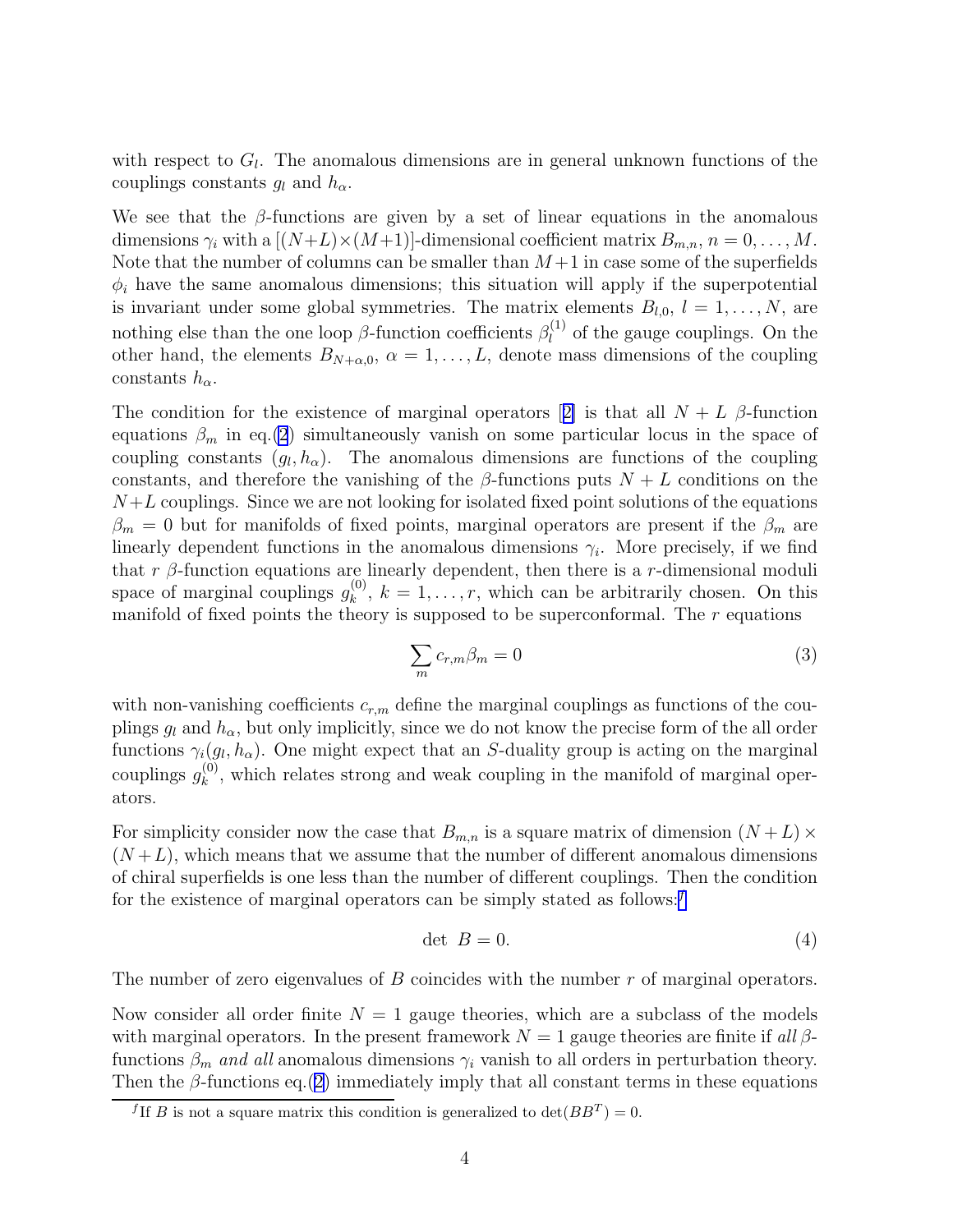with respect to  $G_l$ . The anomalous dimensions are in general unknown functions of the couplings constants  $g_l$  and  $h_\alpha$ .

We see that the  $\beta$ -functions are given by a set of linear equations in the anomalous dimensions  $\gamma_i$  with a  $[(N+L)\times(M+1)]$ -dimensional coefficient matrix  $B_{m,n}$ ,  $n=0,\ldots,M$ . Note that the number of columns can be smaller than  $M+1$  in case some of the superfields  $\phi_i$  have the same anomalous dimensions; this situation will apply if the superpotential is invariant under some global symmetries. The matrix elements  $B_{l,0}, l = 1, \ldots, N$ , are nothing else than the one loop  $\beta$ -function coefficients  $\beta_l^{(1)}$  $\ell_l^{(1)}$  of the gauge couplings. On the other hand, the elements  $B_{N+\alpha,0}$ ,  $\alpha = 1, \ldots, L$ , denote mass dimensions of the coupling constants  $h_{\alpha}$ .

Thecondition for the existence of marginal operators [[2\]](#page-10-0) is that all  $N + L$  β-function equations  $\beta_m$  in eq.[\(2](#page-2-0)) simultaneously vanish on some particular locus in the space of coupling constants  $(g_l, h_\alpha)$ . The anomalous dimensions are functions of the coupling constants, and therefore the vanishing of the  $\beta$ -functions puts  $N + L$  conditions on the  $N+L$  couplings. Since we are not looking for isolated fixed point solutions of the equations  $\beta_m = 0$  but for manifolds of fixed points, marginal operators are present if the  $\beta_m$  are linearly dependent functions in the anomalous dimensions  $\gamma_i$ . More precisely, if we find that r  $\beta$ -function equations are linearly dependent, then there is a r-dimensional moduli space of marginal couplings  $g_k^{(0)}$  $\kappa_k^{(0)}$ ,  $k = 1, \ldots, r$ , which can be arbitrarily chosen. On this manifold of fixed points the theory is supposed to be superconformal. The  $r$  equations

$$
\sum_{m} c_{r,m} \beta_m = 0 \tag{3}
$$

with non-vanishing coefficients  $c_{r,m}$  define the marginal couplings as functions of the couplings  $g_l$  and  $h_\alpha$ , but only implicitly, since we do not know the precise form of the all order functions  $\gamma_i(g_l, h_\alpha)$ . One might expect that an S-duality group is acting on the marginal couplings  $g_k^{(0)}$  $k<sup>(0)</sup>$ , which relates strong and weak coupling in the manifold of marginal operators.

For simplicity consider now the case that  $B_{m,n}$  is a square matrix of dimension  $(N+L)\times$  $(N+L)$ , which means that we assume that the number of different anomalous dimensions of chiral superfields is one less than the number of different couplings. Then the condition for the existence of marginal operators can be simply stated as follows:<sup>f</sup>

$$
\det B = 0. \tag{4}
$$

The number of zero eigenvalues of B coincides with the number r of marginal operators.

Now consider all order finite  $N = 1$  gauge theories, which are a subclass of the models with marginal operators. In the present framework  $N = 1$  gauge theories are finite if all  $\beta$ functions  $\beta_m$  and all anomalous dimensions  $\gamma_i$  vanish to all orders in perturbation theory. Then the  $\beta$ -functions eq.[\(2\)](#page-2-0) immediately imply that all constant terms in these equations

<sup>&</sup>lt;sup>f</sup>If B is not a square matrix this condition is generalized to  $\det(BB^T) = 0$ .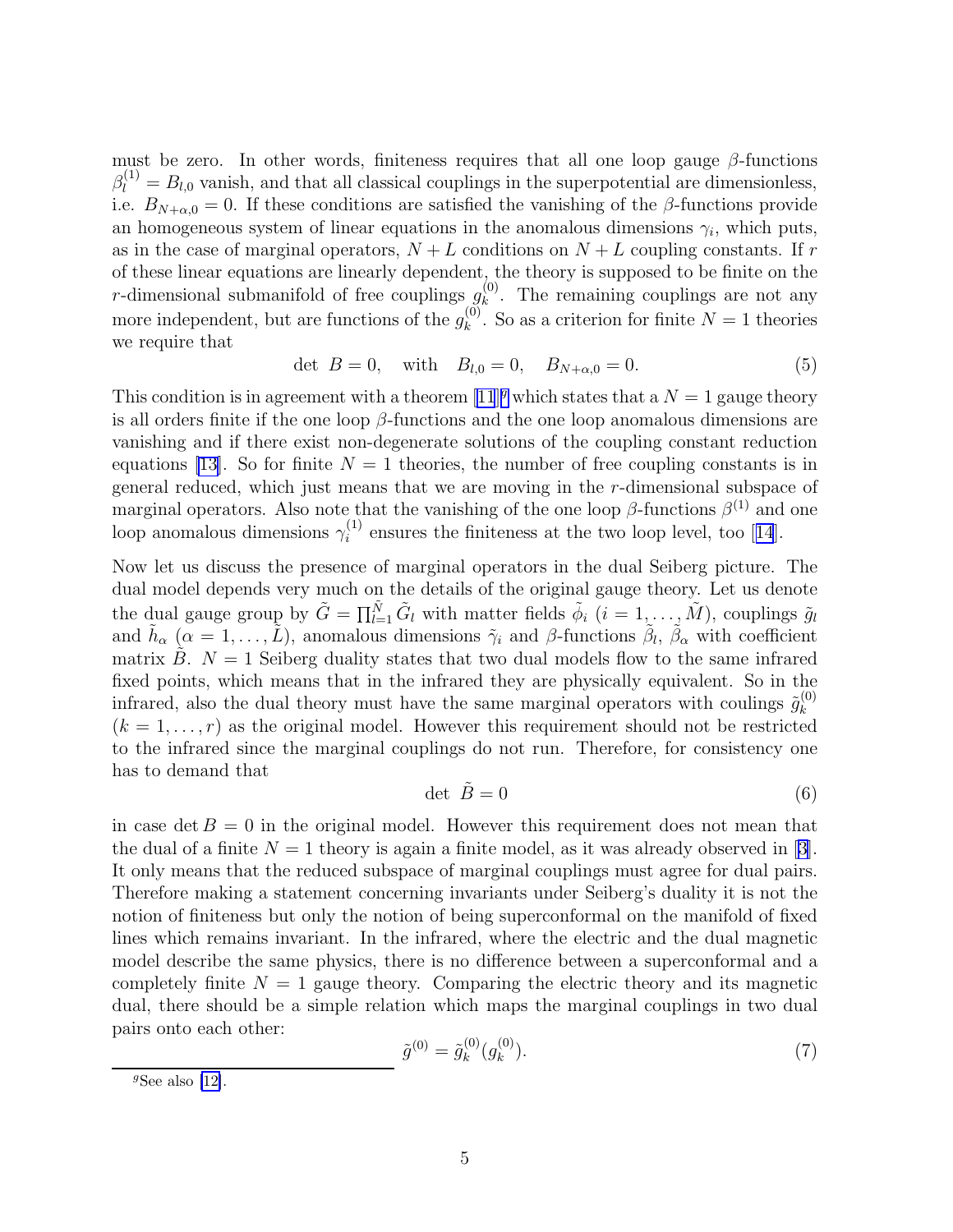must be zero. In other words, finiteness requires that all one loop gauge  $\beta$ -functions  $\beta_l^{(1)} = B_{l,0}$  vanish, and that all classical couplings in the superpotential are dimensionless, i.e.  $B_{N+\alpha,0} = 0$ . If these conditions are satisfied the vanishing of the  $\beta$ -functions provide an homogeneous system of linear equations in the anomalous dimensions  $\gamma_i$ , which puts, as in the case of marginal operators,  $N + L$  conditions on  $N + L$  coupling constants. If r of these linear equations are linearly dependent, the theory is supposed to be finite on the r-dimensional submanifold of free couplings  $g_k^{(0)}$  $\kappa^{(0)}$ . The remaining couplings are not any more independent, but are functions of the  $g_k^{(0)}$  $\kappa^{(0)}$ . So as a criterion for finite  $N=1$  theories we require that

det 
$$
B = 0
$$
, with  $B_{l,0} = 0$ ,  $B_{N+\alpha,0} = 0$ . (5)

Thiscondition is in agreement with a theorem  $[11]^g$  $[11]^g$  $[11]^g$  which states that a  $N = 1$  gauge theory is all orders finite if the one loop  $\beta$ -functions and the one loop anomalous dimensions are vanishing and if there exist non-degenerate solutions of the coupling constant reduction equations [\[13\]](#page-11-0). So for finite  $N = 1$  theories, the number of free coupling constants is in general reduced, which just means that we are moving in the r-dimensional subspace of marginal operators. Also note that the vanishing of the one loop  $\beta$ -functions  $\beta^{(1)}$  and one loop anomalous dimensions  $\gamma_i^{(1)}$  $i_i^{(1)}$ ensures the finiteness at the two loop level, too [[14](#page-11-0)].

Now let us discuss the presence of marginal operators in the dual Seiberg picture. The dual model depends very much on the details of the original gauge theory. Let us denote the dual gauge group by  $\tilde{G} = \prod_{l=1}^{\tilde{N}} \tilde{G}_l$  with matter fields  $\tilde{\phi}_i$   $(i = 1, \ldots, \tilde{M})$ , couplings  $\tilde{g}_l$ and  $\tilde{h}_{\alpha}$   $(\alpha = 1, \ldots, \tilde{L})$ , anomalous dimensions  $\tilde{\gamma}_i$  and  $\beta$ -functions  $\tilde{\beta}_l$ ,  $\tilde{\beta}_{\alpha}$  with coefficient matrix  $\ddot{B}$ .  $N = 1$  Seiberg duality states that two dual models flow to the same infrared fixed points, which means that in the infrared they are physically equivalent. So in the infrared, also the dual theory must have the same marginal operators with coulings  $\tilde{g}_k^{(0)}$ k  $(k = 1, \ldots, r)$  as the original model. However this requirement should not be restricted to the infrared since the marginal couplings do not run. Therefore, for consistency one has to demand that

$$
\det \tilde{B} = 0 \tag{6}
$$

in case det  $B = 0$  in the original model. However this requirement does not mean that the dual of a finite  $N = 1$  theory is again a finite model, as it was already observed in [\[3\]](#page-11-0). It only means that the reduced subspace of marginal couplings must agree for dual pairs. Therefore making a statement concerning invariants under Seiberg's duality it is not the notion of finiteness but only the notion of being superconformal on the manifold of fixed lines which remains invariant. In the infrared, where the electric and the dual magnetic model describe the same physics, there is no difference between a superconformal and a completely finite  $N = 1$  gauge theory. Comparing the electric theory and its magnetic dual, there should be a simple relation which maps the marginal couplings in two dual pairs onto each other:

$$
\tilde{g}^{(0)} = \tilde{g}_k^{(0)}(g_k^{(0)}).
$$
\n(7)

<sup>&</sup>lt;sup>g</sup>See also [\[12\]](#page-11-0).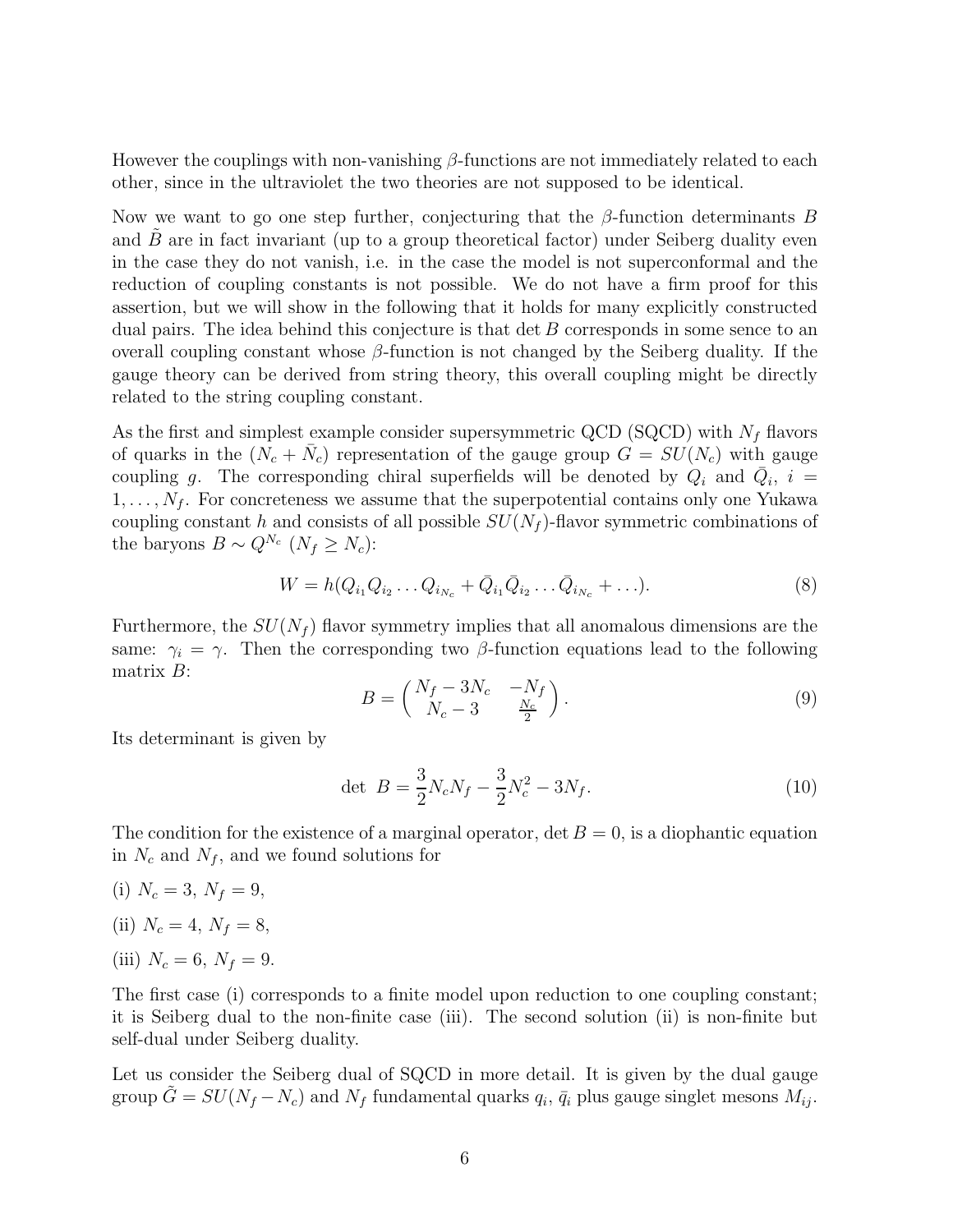However the couplings with non-vanishing  $\beta$ -functions are not immediately related to each other, since in the ultraviolet the two theories are not supposed to be identical.

Now we want to go one step further, conjecturing that the  $\beta$ -function determinants B and  $B$  are in fact invariant (up to a group theoretical factor) under Seiberg duality even in the case they do not vanish, i.e. in the case the model is not superconformal and the reduction of coupling constants is not possible. We do not have a firm proof for this assertion, but we will show in the following that it holds for many explicitly constructed dual pairs. The idea behind this conjecture is that  $\det B$  corresponds in some sence to an overall coupling constant whose  $\beta$ -function is not changed by the Seiberg duality. If the gauge theory can be derived from string theory, this overall coupling might be directly related to the string coupling constant.

As the first and simplest example consider supersymmetric QCD (SQCD) with  $N_f$  flavors of quarks in the  $(N_c + \bar{N}_c)$  representation of the gauge group  $G = SU(N_c)$  with gauge coupling g. The corresponding chiral superfields will be denoted by  $Q_i$  and  $\overline{Q}_i$ ,  $i =$  $1, \ldots, N_f$ . For concreteness we assume that the superpotential contains only one Yukawa coupling constant h and consists of all possible  $SU(N_f)$ -flavor symmetric combinations of the baryons  $B \sim Q^{N_c} (N_f \geq N_c)$ :

$$
W = h(Q_{i_1}Q_{i_2}\dots Q_{i_{N_c}} + \bar{Q}_{i_1}\bar{Q}_{i_2}\dots\bar{Q}_{i_{N_c}} + \dots).
$$
\n(8)

Furthermore, the  $SU(N_f)$  flavor symmetry implies that all anomalous dimensions are the same:  $\gamma_i = \gamma$ . Then the corresponding two β-function equations lead to the following matrix B:

$$
B = \begin{pmatrix} N_f - 3N_c & -N_f \\ N_c - 3 & \frac{N_c}{2} \end{pmatrix}.
$$
 (9)

Its determinant is given by

$$
\det B = \frac{3}{2} N_c N_f - \frac{3}{2} N_c^2 - 3N_f. \tag{10}
$$

The condition for the existence of a marginal operator,  $\det B = 0$ , is a diophantic equation in  $N_c$  and  $N_f$ , and we found solutions for

- (i)  $N_c = 3, N_f = 9,$
- (ii)  $N_c = 4, N_f = 8,$
- (iii)  $N_c = 6, N_f = 9.$

The first case (i) corresponds to a finite model upon reduction to one coupling constant; it is Seiberg dual to the non-finite case (iii). The second solution (ii) is non-finite but self-dual under Seiberg duality.

Let us consider the Seiberg dual of SQCD in more detail. It is given by the dual gauge group  $\tilde{G} = SU(N_f - N_c)$  and  $N_f$  fundamental quarks  $q_i$ ,  $\bar{q}_i$  plus gauge singlet mesons  $M_{ij}$ .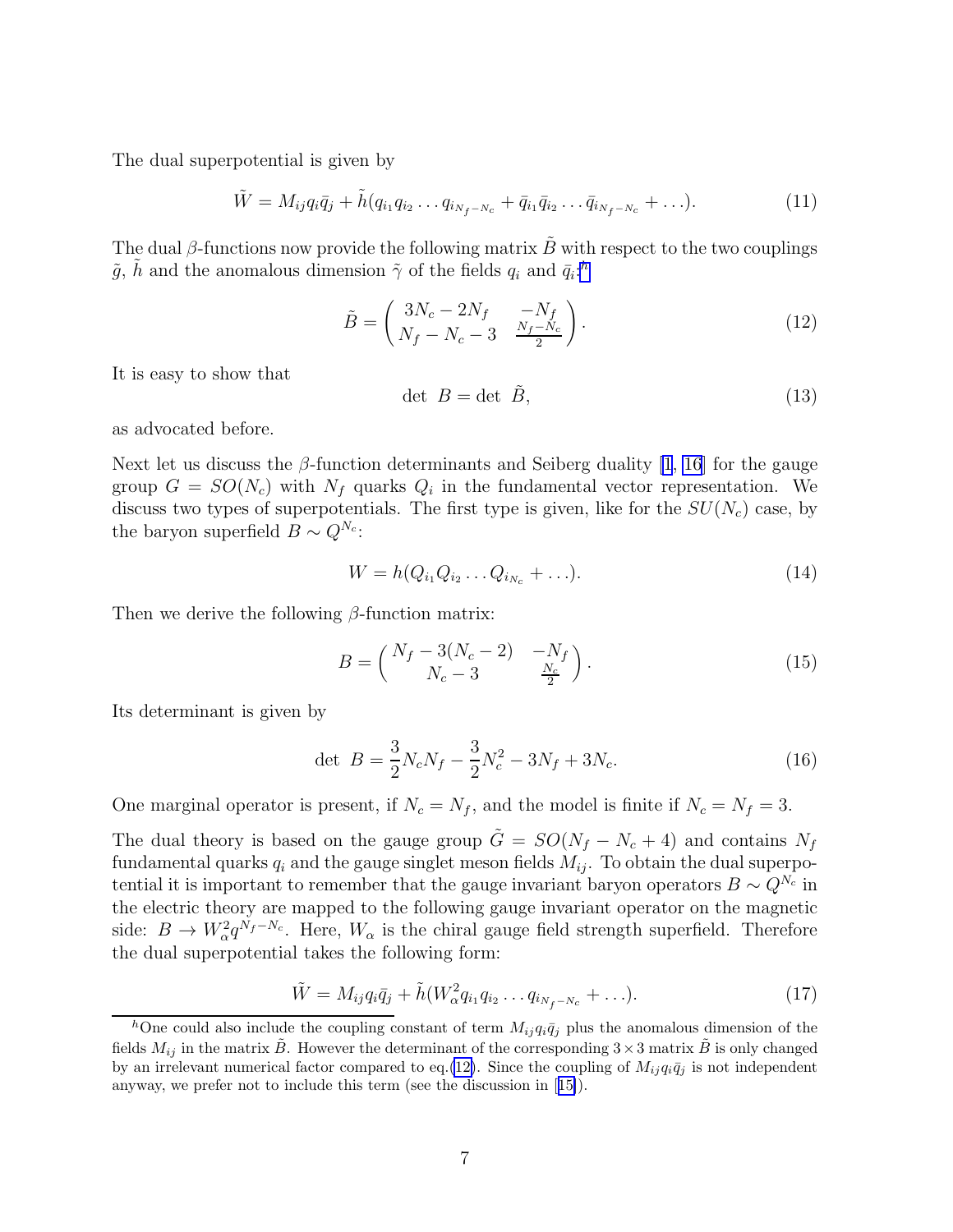<span id="page-6-0"></span>The dual superpotential is given by

$$
\tilde{W} = M_{ij} q_i \bar{q}_j + \tilde{h} (q_{i_1} q_{i_2} \dots q_{i_{N_f - N_c}} + \bar{q}_{i_1} \bar{q}_{i_2} \dots \bar{q}_{i_{N_f - N_c}} + \dots).
$$
\n(11)

The dual β-functions now provide the following matrix  $\tilde{B}$  with respect to the two couplings  $\tilde{g}$ ,  $\tilde{h}$  and the anomalous dimension  $\tilde{\gamma}$  of the fields  $q_i$  and  $\bar{q}_i$ :<sup>h</sup>

$$
\tilde{B} = \begin{pmatrix} 3N_c - 2N_f & -N_f \\ N_f - N_c - 3 & \frac{N_f - N_c}{2} \end{pmatrix}.
$$
\n(12)

It is easy to show that

$$
\det B = \det \tilde{B},\tag{13}
$$

as advocated before.

Next let us discuss the β-function determinants and Seiberg duality [\[1](#page-10-0), [16](#page-12-0)] for the gauge group  $G = SO(N_c)$  with  $N_f$  quarks  $Q_i$  in the fundamental vector representation. We discuss two types of superpotentials. The first type is given, like for the  $SU(N_c)$  case, by the baryon superfield  $B \sim Q^{N_c}$ :

$$
W = h(Q_{i_1}Q_{i_2}\dots Q_{i_{N_c}} + \dots).
$$
\n(14)

Then we derive the following  $\beta$ -function matrix:

$$
B = \begin{pmatrix} N_f - 3(N_c - 2) & -N_f \\ N_c - 3 & \frac{N_c}{2} \end{pmatrix}.
$$
 (15)

Its determinant is given by

$$
\det B = \frac{3}{2} N_c N_f - \frac{3}{2} N_c^2 - 3N_f + 3N_c. \tag{16}
$$

One marginal operator is present, if  $N_c = N_f$ , and the model is finite if  $N_c = N_f = 3$ .

The dual theory is based on the gauge group  $\tilde{G} = SO(N_f - N_c + 4)$  and contains  $N_f$ fundamental quarks  $q_i$  and the gauge singlet meson fields  $M_{ij}$ . To obtain the dual superpotential it is important to remember that the gauge invariant baryon operators  $B \sim Q^{N_c}$  in the electric theory are mapped to the following gauge invariant operator on the magnetic side:  $B \to W_\alpha^2 q^{N_f - N_c}$ . Here,  $W_\alpha$  is the chiral gauge field strength superfield. Therefore the dual superpotential takes the following form:

$$
\tilde{W} = M_{ij}q_i\bar{q}_j + \tilde{h}(W_{\alpha}^2q_{i_1}q_{i_2}\dots q_{i_{N_f-N_c}} + \dots). \tag{17}
$$

<sup>&</sup>lt;sup>h</sup>One could also include the coupling constant of term  $M_{ij}q_i\bar{q}_j$  plus the anomalous dimension of the fields  $M_{ij}$  in the matrix  $\tilde{B}$ . However the determinant of the corresponding  $3 \times 3$  matrix  $\tilde{B}$  is only changed by an irrelevant numerical factor compared to eq.(12). Since the coupling of  $M_{ij}q_i\bar{q}_j$  is not independent anyway, we prefer not to include this term (see the discussion in[[15\]](#page-12-0)).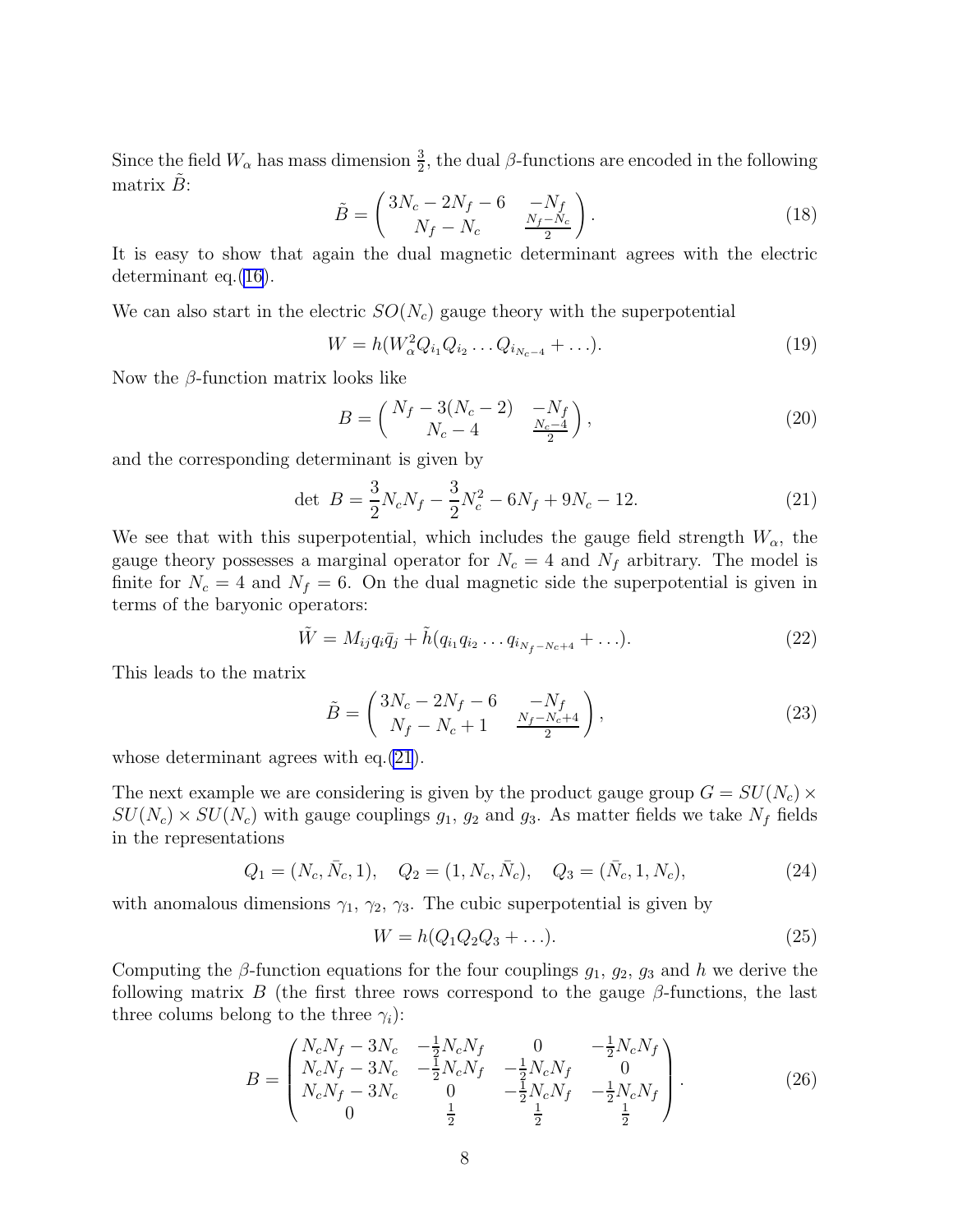Since the field  $W_{\alpha}$  has mass dimension  $\frac{3}{2}$ , the dual  $\beta$ -functions are encoded in the following matrix  $B$ :

$$
\tilde{B} = \begin{pmatrix} 3N_c - 2N_f - 6 & -N_f \\ N_f - N_c & \frac{N_f - N_c}{2} \end{pmatrix}.
$$
\n(18)

It is easy to show that again the dual magnetic determinant agrees with the electric determinant eq.[\(16\)](#page-6-0).

We can also start in the electric  $SO(N_c)$  gauge theory with the superpotential

$$
W = h(W_{\alpha}^{2}Q_{i_1}Q_{i_2}\dots Q_{i_{N_c-4}} + \dots).
$$
 (19)

Now the  $\beta$ -function matrix looks like

$$
B = \begin{pmatrix} N_f - 3(N_c - 2) & -N_f \ N_c - 4 & \frac{N_c - 4}{2} \end{pmatrix},
$$
\n(20)

and the corresponding determinant is given by

$$
\det B = \frac{3}{2} N_c N_f - \frac{3}{2} N_c^2 - 6N_f + 9N_c - 12. \tag{21}
$$

We see that with this superpotential, which includes the gauge field strength  $W_{\alpha}$ , the gauge theory possesses a marginal operator for  $N_c = 4$  and  $N_f$  arbitrary. The model is finite for  $N_c = 4$  and  $N_f = 6$ . On the dual magnetic side the superpotential is given in terms of the baryonic operators:

$$
\tilde{W} = M_{ij} q_i \bar{q}_j + \tilde{h}(q_{i_1} q_{i_2} \dots q_{i_{N_f - N_c + 4}} + \dots).
$$
\n(22)

This leads to the matrix

$$
\tilde{B} = \begin{pmatrix} 3N_c - 2N_f - 6 & -N_f \\ N_f - N_c + 1 & \frac{N_f - N_c + 4}{2} \end{pmatrix},
$$
\n(23)

whose determinant agrees with eq.(21).

The next example we are considering is given by the product gauge group  $G = SU(N_c) \times$  $SU(N_c) \times SU(N_c)$  with gauge couplings  $g_1, g_2$  and  $g_3$ . As matter fields we take  $N_f$  fields in the representations

$$
Q_1 = (N_c, \bar{N}_c, 1), \quad Q_2 = (1, N_c, \bar{N}_c), \quad Q_3 = (\bar{N}_c, 1, N_c), \tag{24}
$$

with anomalous dimensions  $\gamma_1$ ,  $\gamma_2$ ,  $\gamma_3$ . The cubic superpotential is given by

$$
W = h(Q_1 Q_2 Q_3 + \ldots). \tag{25}
$$

Computing the  $\beta$ -function equations for the four couplings  $g_1, g_2, g_3$  and h we derive the following matrix B (the first three rows correspond to the gauge  $\beta$ -functions, the last three colums belong to the three  $\gamma_i$ :

$$
B = \begin{pmatrix} N_c N_f - 3N_c & -\frac{1}{2} N_c N_f & 0 & -\frac{1}{2} N_c N_f \\ N_c N_f - 3N_c & -\frac{1}{2} N_c N_f & -\frac{1}{2} N_c N_f & 0 \\ N_c N_f - 3N_c & 0 & -\frac{1}{2} N_c N_f & -\frac{1}{2} N_c N_f \\ 0 & \frac{1}{2} & \frac{1}{2} & \frac{1}{2} \end{pmatrix}.
$$
 (26)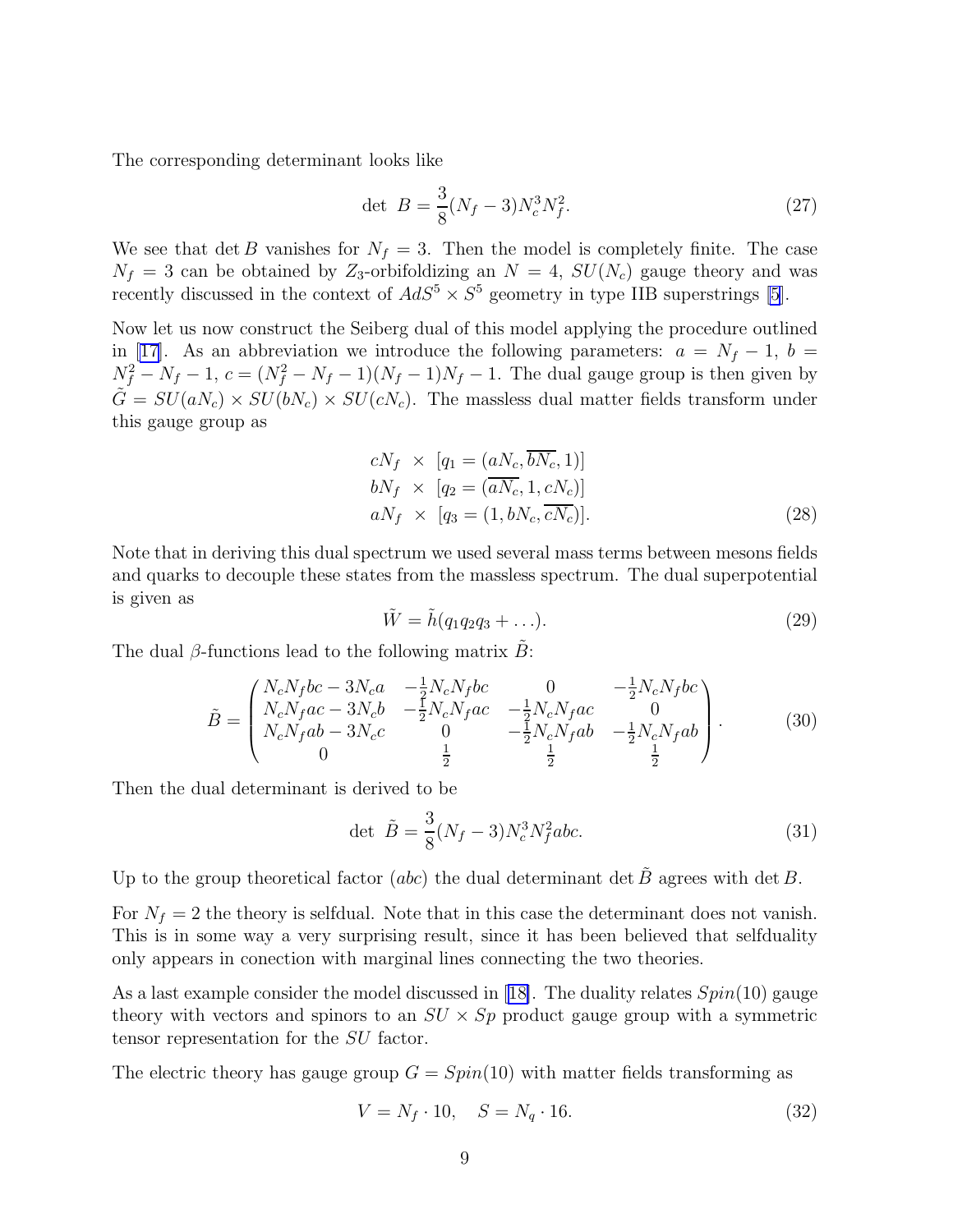The corresponding determinant looks like

$$
\det B = \frac{3}{8}(N_f - 3)N_c^3 N_f^2. \tag{27}
$$

We see that det B vanishes for  $N_f = 3$ . Then the model is completely finite. The case  $N_f = 3$  can be obtained by  $Z_3$ -orbifoldizing an  $N = 4$ ,  $SU(N_c)$  gauge theory and was recently discussed in the context of  $AdS^5 \times S^5$  geometry in type IIB superstrings [\[5](#page-11-0)].

Now let us now construct the Seiberg dual of this model applying the procedure outlined in [\[17\]](#page-12-0). As an abbreviation we introduce the following parameters:  $a = N_f - 1$ ,  $b =$  $N_f^2 - N_f - 1$ ,  $c = (N_f^2 - N_f - 1)(N_f - 1)N_f - 1$ . The dual gauge group is then given by  $\tilde{G} = SU(aN_c) \times SU(bN_c) \times SU(cN_c)$ . The massless dual matter fields transform under this gauge group as

$$
cN_f \times [q_1 = (aN_c, \overline{bN_c}, 1)]
$$
  
\n
$$
bN_f \times [q_2 = (\overline{aN_c}, 1, cN_c)]
$$
  
\n
$$
aN_f \times [q_3 = (1, bN_c, \overline{cN_c})].
$$
\n(28)

Note that in deriving this dual spectrum we used several mass terms between mesons fields and quarks to decouple these states from the massless spectrum. The dual superpotential is given as

$$
\tilde{W} = \tilde{h}(q_1 q_2 q_3 + \ldots). \tag{29}
$$

The dual  $\beta$ -functions lead to the following matrix  $B$ :

$$
\tilde{B} = \begin{pmatrix}\nN_c N_f b c - 3N_c a & -\frac{1}{2} N_c N_f b c & 0 & -\frac{1}{2} N_c N_f b c \\
N_c N_f a c - 3N_c b & -\frac{1}{2} N_c N_f a c & -\frac{1}{2} N_c N_f a c & 0 \\
N_c N_f a b - 3N_c c & 0 & -\frac{1}{2} N_c N_f a b & -\frac{1}{2} N_c N_f a b \\
0 & \frac{1}{2} & \frac{1}{2} & \frac{1}{2}\n\end{pmatrix}.
$$
\n(30)

Then the dual determinant is derived to be

$$
\det \tilde{B} = \frac{3}{8}(N_f - 3)N_c^3 N_f^2 abc.
$$
\n(31)

Up to the group theoretical factor (abc) the dual determinant det B agrees with det B.

For  $N_f = 2$  the theory is selfdual. Note that in this case the determinant does not vanish. This is in some way a very surprising result, since it has been believed that selfduality only appears in conection with marginal lines connecting the two theories.

Asa last example consider the model discussed in [[18\]](#page-12-0). The duality relates  $Spin(10)$  gauge theory with vectors and spinors to an  $SU \times Sp$  product gauge group with a symmetric tensor representation for the SU factor.

The electric theory has gauge group  $G = Spin(10)$  with matter fields transforming as

$$
V = N_f \cdot 10, \quad S = N_q \cdot 16. \tag{32}
$$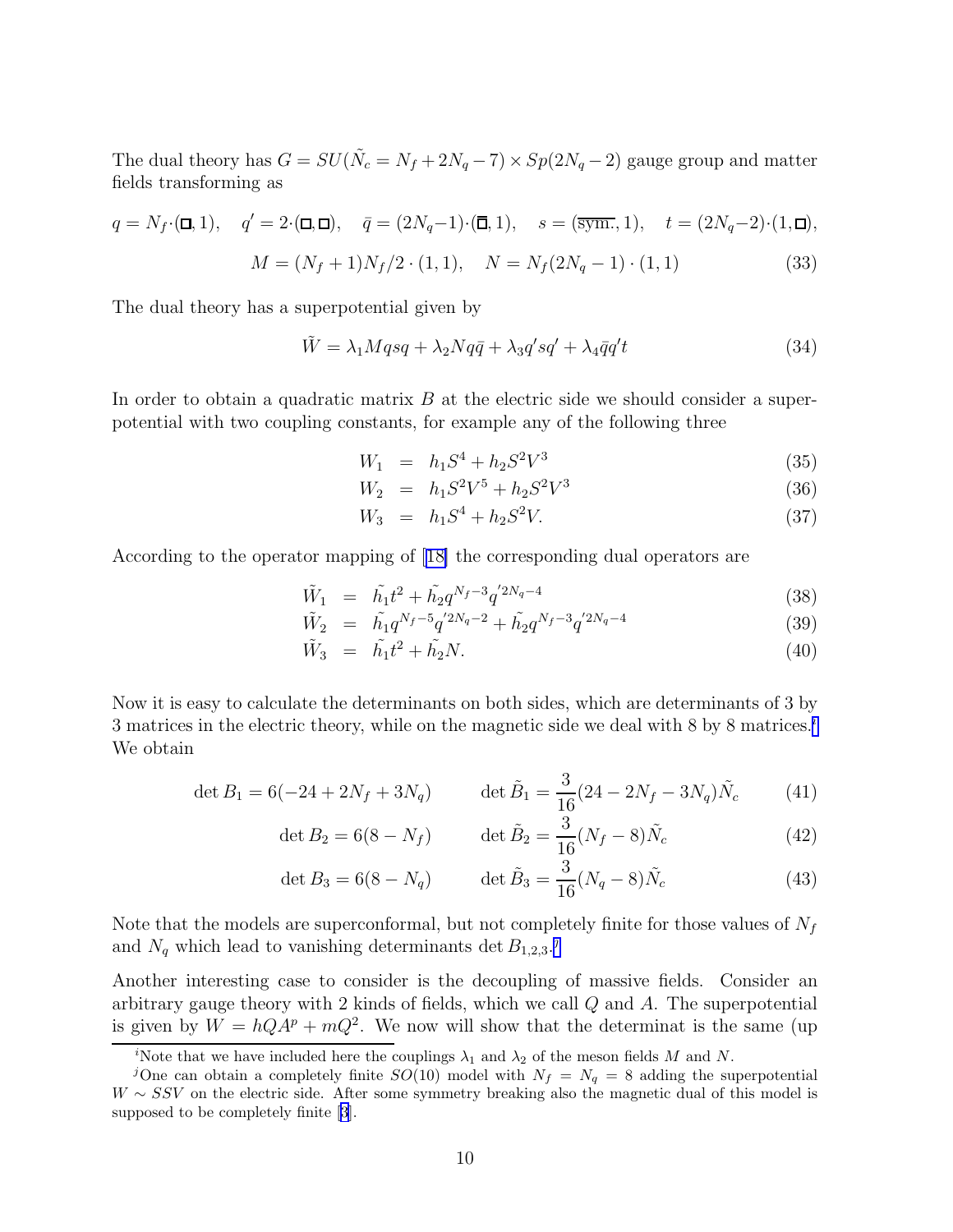The dual theory has  $G = SU(\tilde{N_c} = N_f + 2N_q - 7) \times Sp(2N_q - 2)$  gauge group and matter fields transforming as

$$
q = N_f \cdot (\Box, 1), \quad q' = 2 \cdot (\Box, \Box), \quad \bar{q} = (2N_q - 1) \cdot (\overline{\Box}, 1), \quad s = (\overline{\text{sym.}}, 1), \quad t = (2N_q - 2) \cdot (1, \Box),
$$

$$
M = (N_f + 1)N_f/2 \cdot (1, 1), \quad N = N_f(2N_q - 1) \cdot (1, 1) \tag{33}
$$

The dual theory has a superpotential given by

$$
\tilde{W} = \lambda_1 Mqsq + \lambda_2 Nq\bar{q} + \lambda_3 q'sq' + \lambda_4 \bar{q}q't \tag{34}
$$

In order to obtain a quadratic matrix  $B$  at the electric side we should consider a superpotential with two coupling constants, for example any of the following three

$$
W_1 = h_1 S^4 + h_2 S^2 V^3 \tag{35}
$$

$$
W_2 = h_1 S^2 V^5 + h_2 S^2 V^3 \tag{36}
$$

$$
W_3 = h_1 S^4 + h_2 S^2 V. \tag{37}
$$

According to the operator mapping of[[18\]](#page-12-0) the corresponding dual operators are

$$
\tilde{W}_1 = \tilde{h_1}t^2 + \tilde{h_2}q^{N_f - 3}q'^{2N_q - 4} \tag{38}
$$

$$
\tilde{W}_2 = \tilde{h_1} q^{N_f - 5} q^{'2N_q - 2} + \tilde{h_2} q^{N_f - 3} q^{'2N_q - 4} \tag{39}
$$

$$
\tilde{W}_3 = \tilde{h_1}t^2 + \tilde{h_2}N. \tag{40}
$$

Now it is easy to calculate the determinants on both sides, which are determinants of 3 by 3 matrices in the electric theory, while on the magnetic side we deal with 8 by 8 matrices.<sup>i</sup> We obtain

$$
\det B_1 = 6(-24 + 2N_f + 3N_q) \qquad \det \tilde{B}_1 = \frac{3}{16}(24 - 2N_f - 3N_q)\tilde{N}_c \tag{41}
$$

$$
\det B_2 = 6(8 - N_f) \qquad \det \tilde{B}_2 = \frac{3}{16}(N_f - 8)\tilde{N}_c \tag{42}
$$

$$
\det B_3 = 6(8 - N_q) \qquad \det \tilde{B}_3 = \frac{3}{16}(N_q - 8)\tilde{N}_c \tag{43}
$$

Note that the models are superconformal, but not completely finite for those values of  $N_f$ and  $N_q$  which lead to vanishing determinants det  $B_{1,2,3}.$ <sup>j</sup>

Another interesting case to consider is the decoupling of massive fields. Consider an arbitrary gauge theory with 2 kinds of fields, which we call Q and A. The superpotential is given by  $W = hQ A^p + mQ^2$ . We now will show that the determinat is the same (up

<sup>&</sup>lt;sup>*i*</sup>Note that we have included here the couplings  $\lambda_1$  and  $\lambda_2$  of the meson fields M and N.

<sup>&</sup>lt;sup>j</sup>One can obtain a completely finite  $SO(10)$  model with  $N_f = N_q = 8$  adding the superpotential  $W \sim SSV$  on the electric side. After some symmetry breaking also the magnetic dual of this model is supposed to be completely finite[[3](#page-11-0)].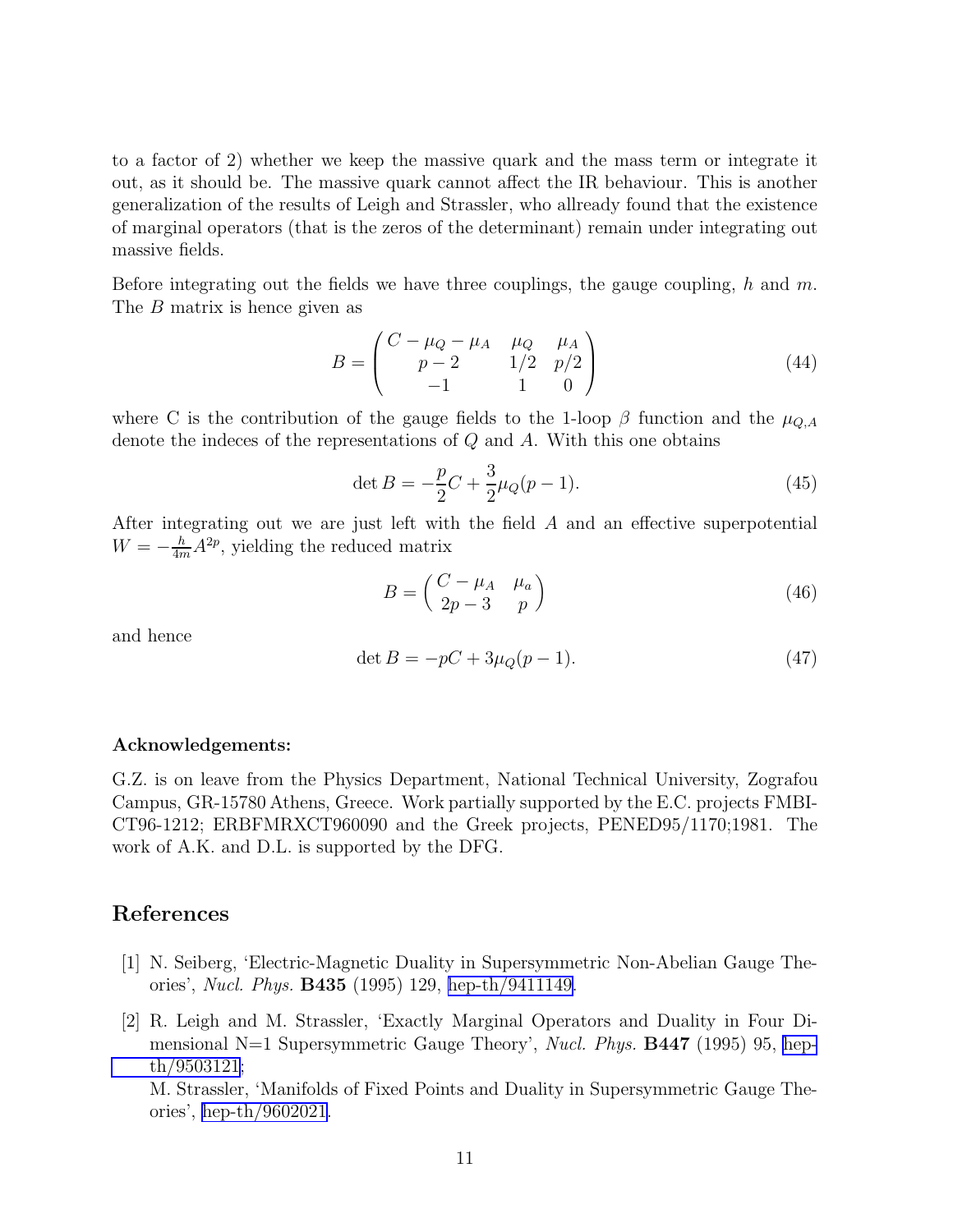<span id="page-10-0"></span>to a factor of 2) whether we keep the massive quark and the mass term or integrate it out, as it should be. The massive quark cannot affect the IR behaviour. This is another generalization of the results of Leigh and Strassler, who allready found that the existence of marginal operators (that is the zeros of the determinant) remain under integrating out massive fields.

Before integrating out the fields we have three couplings, the gauge coupling,  $h$  and  $m$ . The B matrix is hence given as

$$
B = \begin{pmatrix} C - \mu_Q - \mu_A & \mu_Q & \mu_A \\ p - 2 & 1/2 & p/2 \\ -1 & 1 & 0 \end{pmatrix}
$$
 (44)

where C is the contribution of the gauge fields to the 1-loop  $\beta$  function and the  $\mu_{O,A}$ denote the indeces of the representations of  $Q$  and  $A$ . With this one obtains

$$
\det B = -\frac{p}{2}C + \frac{3}{2}\mu_Q(p-1). \tag{45}
$$

After integrating out we are just left with the field A and an effective superpotential  $W = -\frac{h}{4m}A^{2p}$ , yielding the reduced matrix

$$
B = \begin{pmatrix} C - \mu_A & \mu_a \\ 2p - 3 & p \end{pmatrix}
$$
 (46)

and hence

$$
\det B = -pC + 3\mu_Q(p-1). \tag{47}
$$

## Acknowledgements:

G.Z. is on leave from the Physics Department, National Technical University, Zografou Campus, GR-15780 Athens, Greece. Work partially supported by the E.C. projects FMBI-CT96-1212; ERBFMRXCT960090 and the Greek projects, PENED95/1170;1981. The work of A.K. and D.L. is supported by the DFG.

## References

- [1] N. Seiberg, 'Electric-Magnetic Duality in Supersymmetric Non-Abelian Gauge Theories', Nucl. Phys. B435 (1995) 129, [hep-th/9411149.](http://arxiv.org/abs/hep-th/9411149)
- [2] R. Leigh and M. Strassler, 'Exactly Marginal Operators and Duality in Four Dimensional N=1 Supersymmetric Gauge Theory', *Nucl. Phys.* **B447** (1995) 95, [hep](http://arxiv.org/abs/hep-th/9503121)[th/9503121](http://arxiv.org/abs/hep-th/9503121);

M. Strassler, 'Manifolds of Fixed Points and Duality in Supersymmetric Gauge Theories', [hep-th/9602021](http://arxiv.org/abs/hep-th/9602021).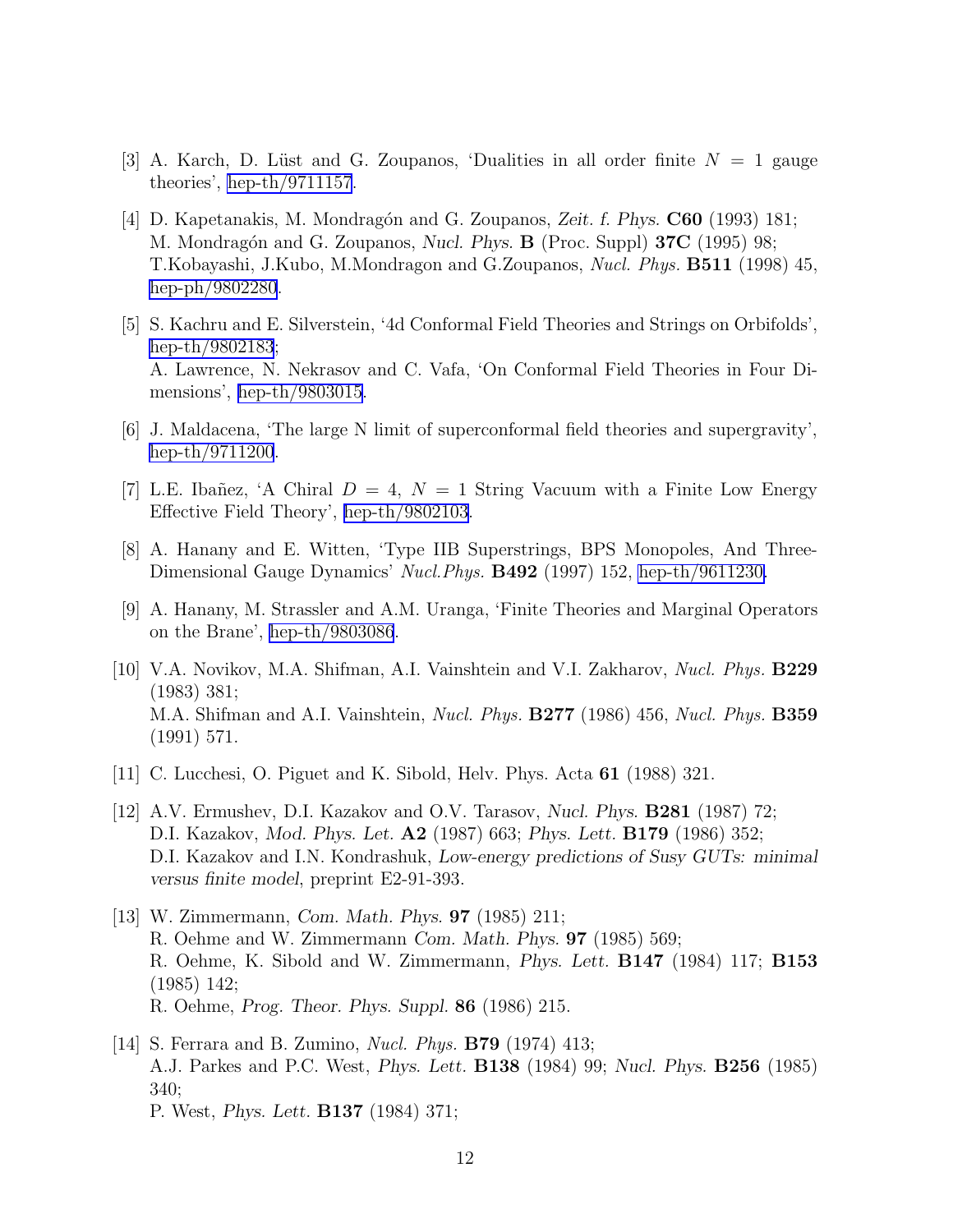- <span id="page-11-0"></span>[3] A. Karch, D. Lüst and G. Zoupanos, 'Dualities in all order finite  $N = 1$  gauge theories', [hep-th/9711157](http://arxiv.org/abs/hep-th/9711157).
- [4] D. Kapetanakis, M. Mondragón and G. Zoupanos, Zeit. f. Phys.  $C60$  (1993) 181; M. Mondragón and G. Zoupanos, Nucl. Phys. **B** (Proc. Suppl) **37C** (1995) 98; T.Kobayashi, J.Kubo, M.Mondragon and G.Zoupanos, Nucl. Phys. B511 (1998) 45, [hep-ph/9802280](http://arxiv.org/abs/hep-ph/9802280).
- [5] S. Kachru and E. Silverstein, '4d Conformal Field Theories and Strings on Orbifolds', [hep-th/9802183](http://arxiv.org/abs/hep-th/9802183); A. Lawrence, N. Nekrasov and C. Vafa, 'On Conformal Field Theories in Four Dimensions', [hep-th/9803015.](http://arxiv.org/abs/hep-th/9803015)
- [6] J. Maldacena, 'The large N limit of superconformal field theories and supergravity', [hep-th/9711200](http://arxiv.org/abs/hep-th/9711200).
- [7] L.E. Ibañez, 'A Chiral  $D = 4$ ,  $N = 1$  String Vacuum with a Finite Low Energy Effective Field Theory', [hep-th/9802103](http://arxiv.org/abs/hep-th/9802103).
- [8] A. Hanany and E. Witten, 'Type IIB Superstrings, BPS Monopoles, And Three-Dimensional Gauge Dynamics' Nucl.Phys. B492 (1997) 152, [hep-th/9611230.](http://arxiv.org/abs/hep-th/9611230)
- [9] A. Hanany, M. Strassler and A.M. Uranga, 'Finite Theories and Marginal Operators on the Brane', [hep-th/9803086](http://arxiv.org/abs/hep-th/9803086).
- [10] V.A. Novikov, M.A. Shifman, A.I. Vainshtein and V.I. Zakharov, Nucl. Phys. B229 (1983) 381; M.A. Shifman and A.I. Vainshtein, *Nucl. Phys.* **B277** (1986) 456, *Nucl. Phys.* **B359** (1991) 571.
- [11] C. Lucchesi, O. Piguet and K. Sibold, Helv. Phys. Acta 61 (1988) 321.
- [12] A.V. Ermushev, D.I. Kazakov and O.V. Tarasov, Nucl. Phys. **B281** (1987) 72; D.I. Kazakov, Mod. Phys. Let. A2 (1987) 663; Phys. Lett. B179 (1986) 352; D.I. Kazakov and I.N. Kondrashuk, Low-energy predictions of Susy GUTs: minimal versus finite model, preprint E2-91-393.
- [13] W. Zimmermann, Com. Math. Phys. 97 (1985) 211; R. Oehme and W. Zimmermann Com. Math. Phys. 97 (1985) 569; R. Oehme, K. Sibold and W. Zimmermann, Phys. Lett. B147 (1984) 117; B153 (1985) 142; R. Oehme, Prog. Theor. Phys. Suppl. 86 (1986) 215.
- [14] S. Ferrara and B. Zumino, Nucl. Phys. B79 (1974) 413; A.J. Parkes and P.C. West, Phys. Lett. B138 (1984) 99; Nucl. Phys. B256 (1985) 340; P. West, Phys. Lett. B137 (1984) 371;